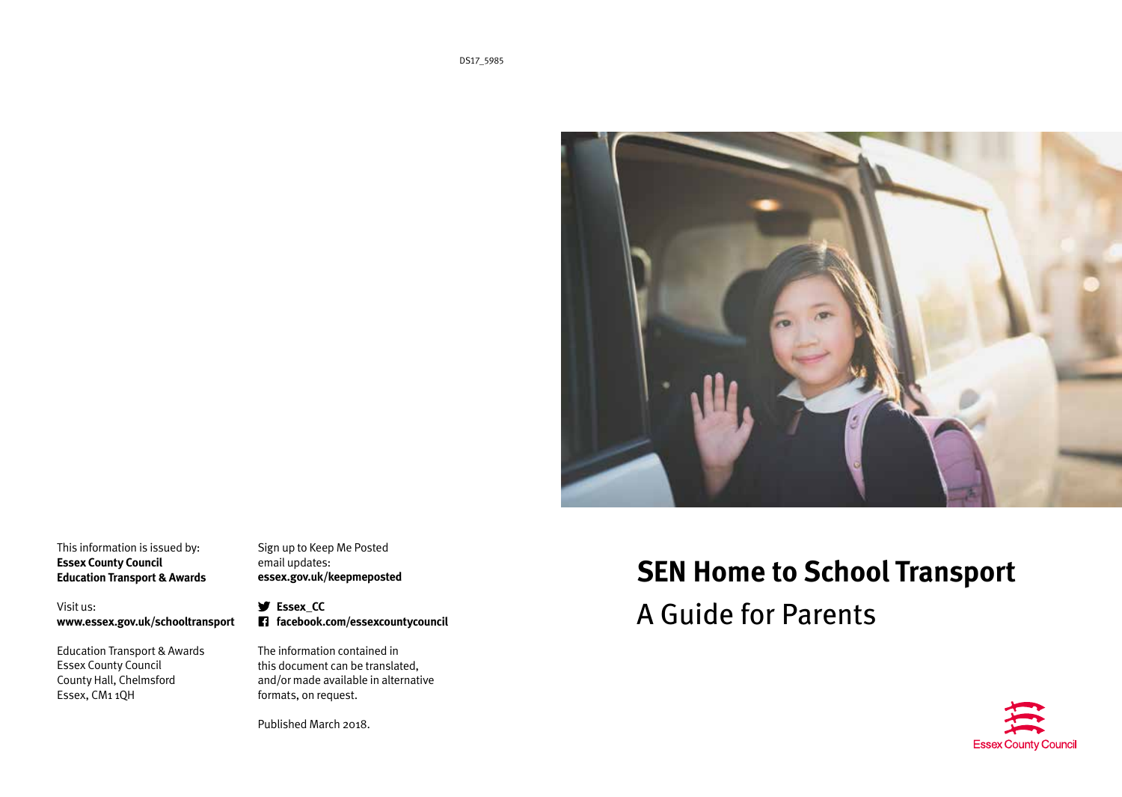

This information is issued by: **Essex County Council Education Transport & Awards**

Visit us: **www.essex.gov.uk/schooltransport**

Education Transport & Awards Essex County Council County Hall, Chelmsford Essex, CM1 1QH

Sign up to Keep Me Posted email updates: **essex.gov.uk/keepmeposted**

**Essex\_CC facebook.com/essexcountycouncil**

The information contained in this document can be translated, and/or made available in alternative formats, on request.

Published March 2018.

# **SEN Home to School Transport**

A Guide for Parents

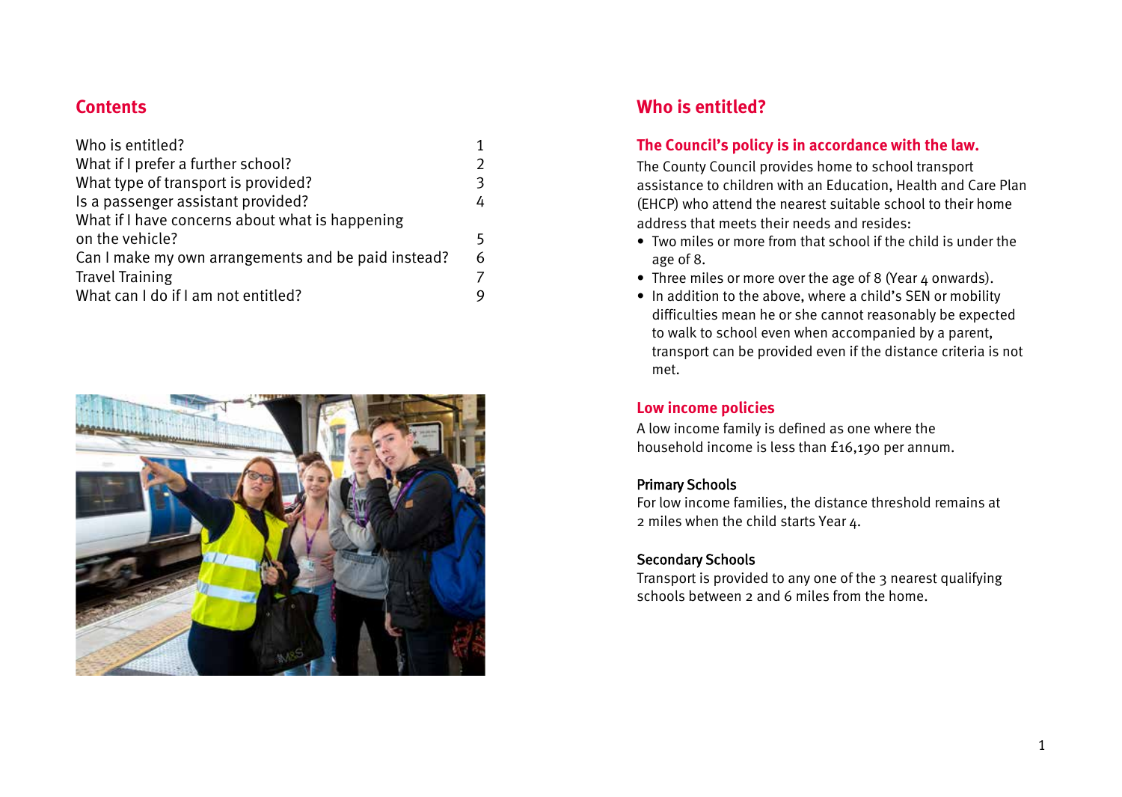# **Contents**

| $\mathfrak{D}$ |
|----------------|
| 3              |
| 4              |
|                |
| 5              |
| 6              |
| 7              |
| 9              |
|                |



# **Who is entitled?**

### **The Council's policy is in accordance with the law.**

The County Council provides home to school transport assistance to children with an Education, Health and Care Plan (EHCP) who attend the nearest suitable school to their home address that meets their needs and resides:

- Two miles or more from that school if the child is under the age of 8.
- Three miles or more over the age of 8 (Year 4 onwards).
- In addition to the above, where a child's SEN or mobility difficulties mean he or she cannot reasonably be expected to walk to school even when accompanied by a parent, transport can be provided even if the distance criteria is not met.

### **Low income policies**

A low income family is defined as one where the household income is less than £16,190 per annum.

### Primary Schools

For low income families, the distance threshold remains at 2 miles when the child starts Year 4.

### Secondary Schools

Transport is provided to any one of the 3 nearest qualifying schools between 2 and 6 miles from the home.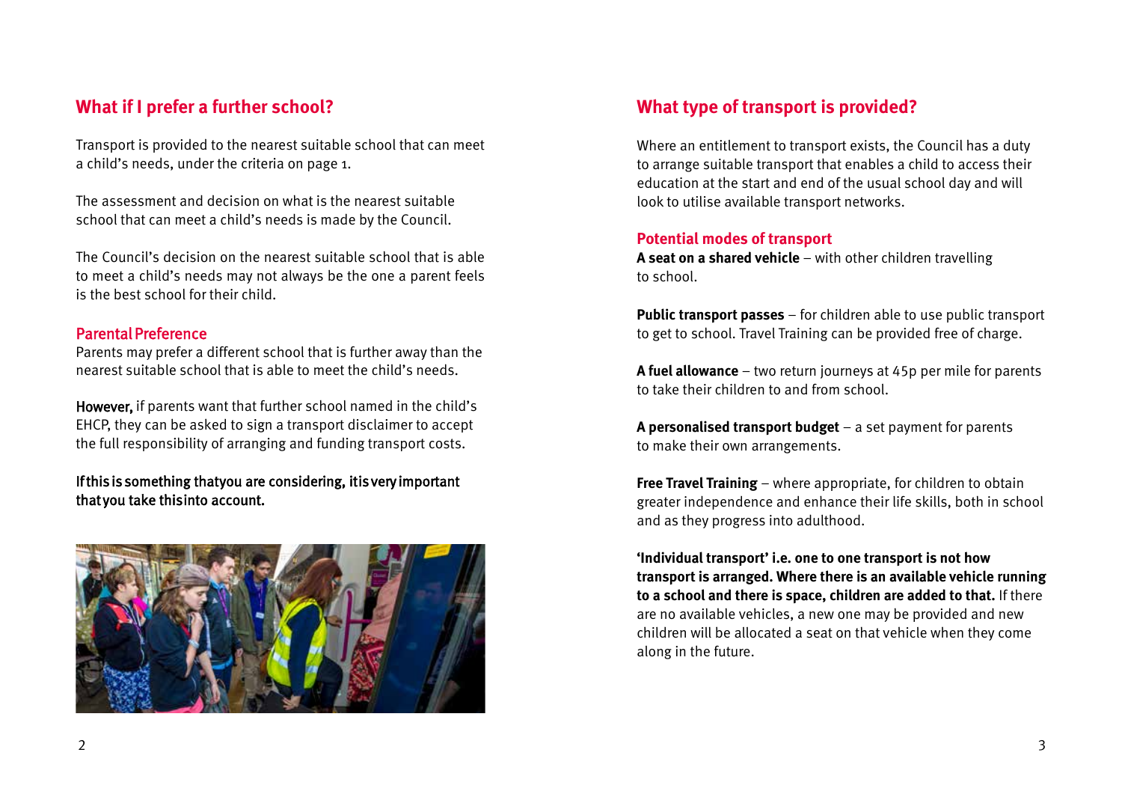# **What if I prefer a further school?**

Transport is provided to the nearest suitable school that can meet a child's needs, under the criteria on page 1.

The assessment and decision on what is the nearest suitable school that can meet a child's needs is made by the Council.

The Council's decision on the nearest suitable school that is able to meet a child's needs may not always be the one a parent feels is the best school for their child.

#### Parental Preference

Parents may prefer a different school that is further away than the nearest suitable school that is able to meet the child's needs.

However, if parents want that further school named in the child's EHCP, they can be asked to sign a transport disclaimer to accept the full responsibility of arranging and funding transport costs.

#### If this is something that you are considering, it is very important that you take this into account.



# **What type of transport is provided?**

Where an entitlement to transport exists, the Council has a duty to arrange suitable transport that enables a child to access their education at the start and end of the usual school day and will look to utilise available transport networks.

#### **Potential modes of transport**

**A seat on a shared vehicle** – with other children travelling to school.

**Public transport passes** – for children able to use public transport to get to school. Travel Training can be provided free of charge.

**A fuel allowance** – two return journeys at 45p per mile for parents to take their children to and from school.

**A personalised transport budget** – a set payment for parents to make their own arrangements.

**Free Travel Training** – where appropriate, for children to obtain greater independence and enhance their life skills, both in school and as they progress into adulthood.

**'Individual transport' i.e. one to one transport is not how transport is arranged. Where there is an available vehicle running to a school and there is space, children are added to that.** If there are no available vehicles, a new one may be provided and new children will be allocated a seat on that vehicle when they come along in the future.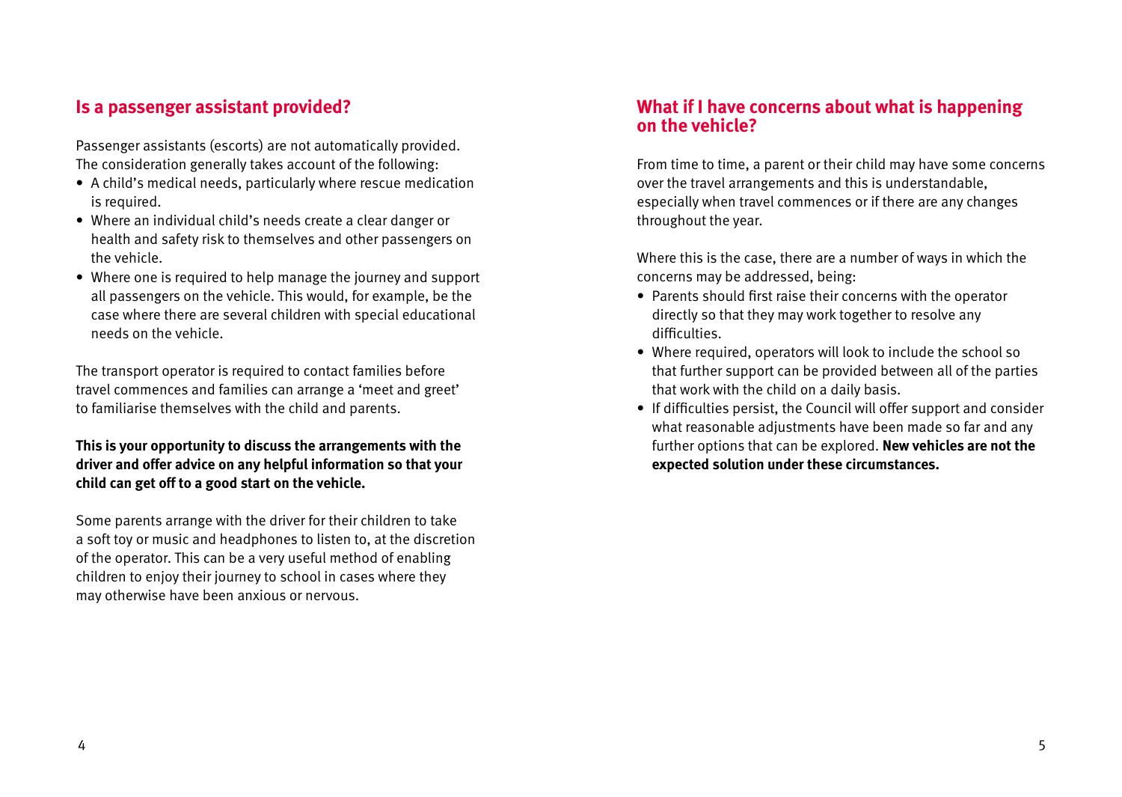## **Is a passenger assistant provided?**

Passenger assistants (escorts) are not automatically provided. The consideration generally takes account of the following:

- A child's medical needs, particularly where rescue medication is required.
- Where an individual child's needs create a clear danger or health and safety risk to themselves and other passengers on the vehicle.
- Where one is required to help manage the journey and support all passengers on the vehicle. This would, for example, be the case where there are several children with special educational needs on the vehicle.

The transport operator is required to contact families before travel commences and families can arrange a 'meet and greet' to familiarise themselves with the child and parents.

#### **This is your opportunity to discuss the arrangements with the driver and offer advice on any helpful information so that your child can get off to a good start on the vehicle.**

Some parents arrange with the driver for their children to take a soft toy or music and headphones to listen to, at the discretion of the operator. This can be a very useful method of enabling children to enjoy their journey to school in cases where they may otherwise have been anxious or nervous.

### **What if I have concerns about what is happening on the vehicle?**

From time to time, a parent or their child may have some concerns over the travel arrangements and this is understandable, especially when travel commences or if there are any changes throughout the year.

Where this is the case, there are a number of ways in which the concerns may be addressed, being:

- Parents should first raise their concerns with the operator directly so that they may work together to resolve any difficulties.
- Where required, operators will look to include the school so that further support can be provided between all of the parties that work with the child on a daily basis.
- If difficulties persist, the Council will offer support and consider what reasonable adjustments have been made so far and any further options that can be explored. **New vehicles are not the expected solution under these circumstances.**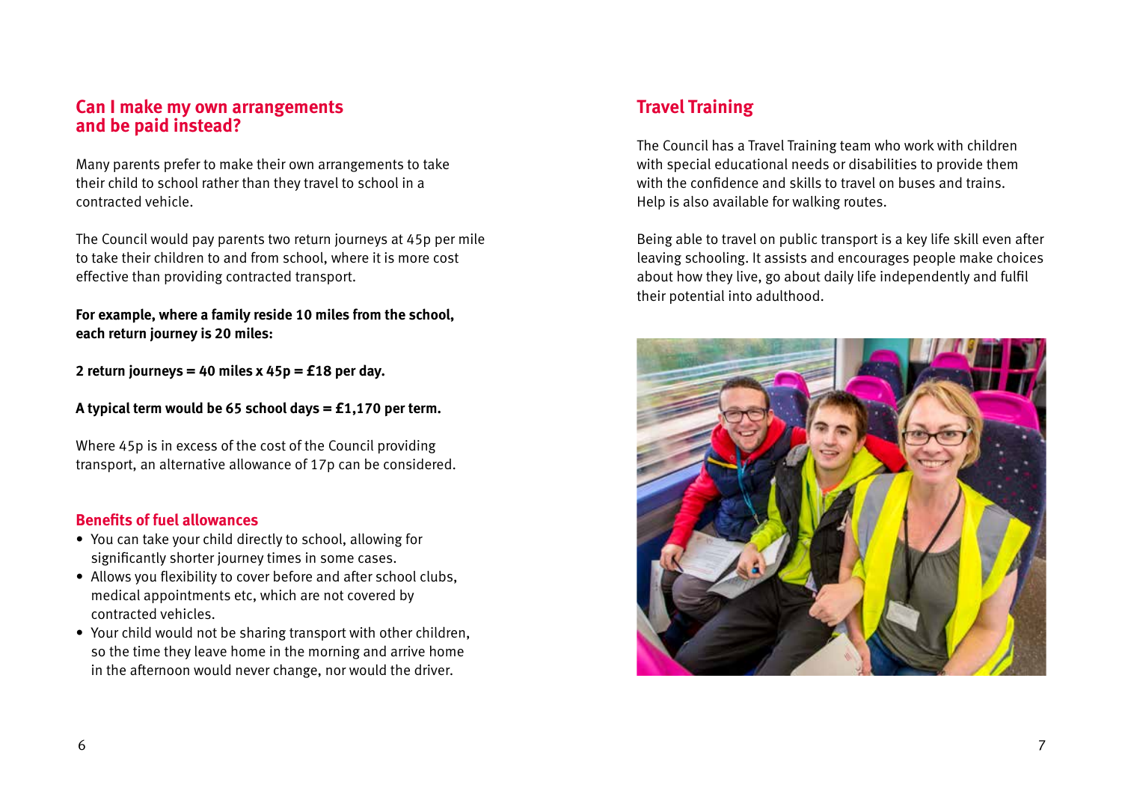### **Can I make my own arrangements and be paid instead?**

Many parents prefer to make their own arrangements to take their child to school rather than they travel to school in a contracted vehicle.

The Council would pay parents two return journeys at 45p per mile to take their children to and from school, where it is more cost effective than providing contracted transport.

**For example, where a family reside 10 miles from the school, each return journey is 20 miles:**

**2 return journeys = 40 miles x 45p = £18 per day.**

**A typical term would be 65 school days = £1,170 per term.**

Where 45p is in excess of the cost of the Council providing transport, an alternative allowance of 17p can be considered.

#### **Benefits of fuel allowances**

- You can take your child directly to school, allowing for significantly shorter journey times in some cases.
- Allows you flexibility to cover before and after school clubs, medical appointments etc, which are not covered by contracted vehicles.
- Your child would not be sharing transport with other children, so the time they leave home in the morning and arrive home in the afternoon would never change, nor would the driver.

# **Travel Training**

The Council has a Travel Training team who work with children with special educational needs or disabilities to provide them with the confidence and skills to travel on buses and trains. Help is also available for walking routes.

Being able to travel on public transport is a key life skill even after leaving schooling. It assists and encourages people make choices about how they live, go about daily life independently and fulfil their potential into adulthood.